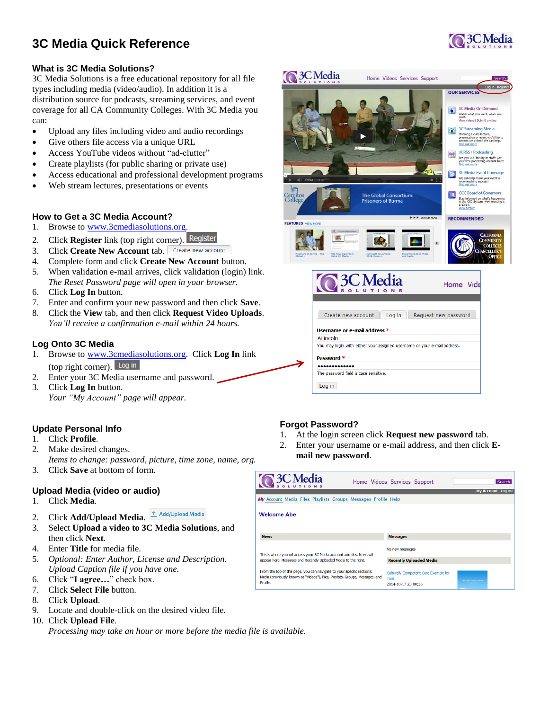# **3C Media Quick Reference**



#### **What is 3C Media Solutions?**

3C Media Solutions is a free educational repository for all file types including media (video/audio). In addition it is a distribution source for podcasts, streaming services, and event coverage for all CA Community Colleges. With 3C Media you can:

- Upload any files including video and audio recordings
- Give others file access via a unique URL
- Access YouTube videos without "ad-clutter"
- Create playlists (for public sharing or private use)
- Access educational and professional development programs
- Web stream lectures, presentations or events

#### **How to Get a 3C Media Account?**

- 1. Browse to [www.3cmediasolutions.org.](http://www.3cmediasolutions.org/)
- 2. Click **Register** link (top right corner).
- 3. Click **Create New Account** tab.
- 4. Complete form and click **Create New Account** button.
- 5. When validation e-mail arrives, click validation (login) link. *The Reset Password page will open in your browser.*
- 6. Click **Log In** button.
- 7. Enter and confirm your new password and then click **Save**.
- 8. Click the **View** tab, and then click **Request Video Uploads**. *You'll receive a confirmation e-mail within 24 hours.*

#### **Log Onto 3C Media**

- 1. Browse to [www.3cmediasolutions.org.](http://www.3cmediasolutions.org/) Click **Log In** link (top right corner).
- 2. Enter your 3C Media username and password.
- 3. Click **Log In** button. *Your "My Account" page will appear.*

#### **Update Personal Info**

- 1. Click **Profile**.
- 2. Make desired changes.
- *Items to change: password, picture, time zone, name, org.* 3. Click **Save** at bottom of form.

#### **Upload Media (video or audio)**

- 1. Click **Media**.
- 2. Click **Add/Upload Media**. **1.** Add/Upload Media
- 3. Select **Upload a video to 3C Media Solutions**, and then click **Next**.
- 4. Enter **Title** for media file.
- 5. *Optional: Enter Author, License and Description. Upload Caption file if you have one.*
- 6. Click "**I agree…**" check box.
- 7. Click **Select File** button.
- 8. Click **Upload**.
- 9. Locate and double-click on the desired video file.

#### 10. Click **Upload File**.

*Processing may take an hour or more before the media file is available.*



Password<sup>></sup> ............. The password field is case sensitive. Log in

#### **Forgot Password?**

- 1. At the login screen click **Request new password** tab.
- 2. Enter your username or e-mail address, and then click **Email new password**.

| <b>Q3CMedia</b>                                                                                                                                                     | Home Videos Services Support<br>Search<br>My Account Log out                                            |
|---------------------------------------------------------------------------------------------------------------------------------------------------------------------|---------------------------------------------------------------------------------------------------------|
| My Account Media Files Playlists Groups Messages Profile Help                                                                                                       |                                                                                                         |
| <b>Welcome Abe</b>                                                                                                                                                  |                                                                                                         |
| <b>News</b>                                                                                                                                                         | <b>Messages</b>                                                                                         |
| This is where you will access your 3C Media account and files. News will                                                                                            | No new messages                                                                                         |
| appear here, Messages and Recently Uploaded Media to the right.                                                                                                     | <b>Recently Uploaded Media</b>                                                                          |
| From the top of this page, you can navigate to your specific sections:<br>Media (previously known as "Videos"), Files, Playlists, Groups, Messages, and<br>Profile. | Culturaly Competent Care Example for<br>Toni<br><b>Culturally Competent Care</b><br>2014-10-17 23:00:36 |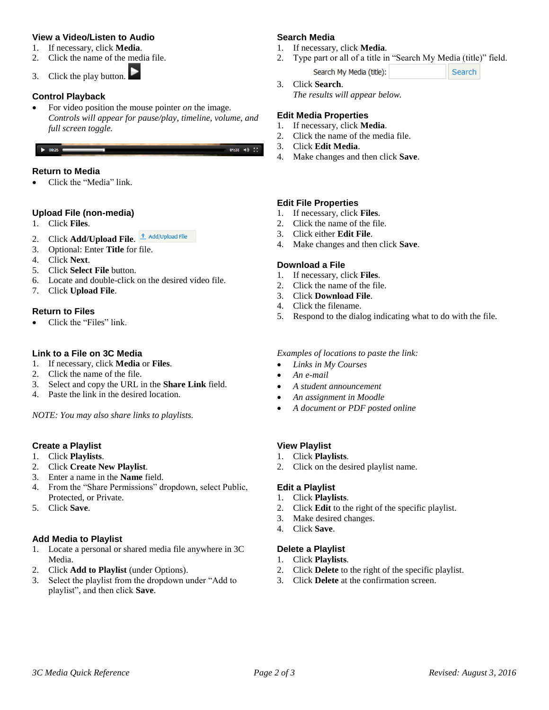#### **View a Video/Listen to Audio**

- 1. If necessary, click **Media**.
- 2. Click the name of the media file.

3. Click the play button.

### **Control Playback**

• For video position the mouse pointer *on* the image. *Controls will appear for pause/play, timeline, volume, and full screen toggle.*

#### $\bullet$  00:25 (

#### **Return to Media**

Click the "Media" link.

### **Upload File (non-media)**

- 1. Click **Files**.
- 2. Click **Add/Upload File.** *<u><sup>†</sup> Add/Upload File</u>*
- 3. Optional: Enter **Title** for file.
- 4. Click **Next**.
- 5. Click **Select File** button.
- 6. Locate and double-click on the desired video file.
- 7. Click **Upload File**.

#### **Return to Files**

Click the "Files" link.

### **Link to a File on 3C Media**

- 1. If necessary, click **Media** or **Files**.
- 2. Click the name of the file.
- 3. Select and copy the URL in the **Share Link** field.
- 4. Paste the link in the desired location.

*NOTE: You may also share links to playlists.*

### **Create a Playlist**

- 1. Click **Playlists**.
- 2. Click **Create New Playlist**.
- 3. Enter a name in the **Name** field.
- 4. From the "Share Permissions" dropdown, select Public, Protected, or Private.
- 5. Click **Save**.

### **Add Media to Playlist**

- 1. Locate a personal or shared media file anywhere in 3C Media.
- 2. Click **Add to Playlist** (under Options).
- 3. Select the playlist from the dropdown under "Add to playlist", and then click **Save**.

#### **Search Media**

- 1. If necessary, click **Media**.
- 2. Type part or all of a title in "Search My Media (title)" field.

Search

- Search My Media (title):
- 3. Click **Search**. *The results will appear below.*

### **Edit Media Properties**

- 1. If necessary, click **Media**.
- 2. Click the name of the media file.
- 3. Click **Edit Media**.

01:38  $\blacktriangleleft$   $\frac{52}{2}$ 

4. Make changes and then click **Save**.

### **Edit File Properties**

- 1. If necessary, click **Files**.
- 2. Click the name of the file.
- 3. Click either **Edit File**.
- 4. Make changes and then click **Save**.

#### **Download a File**

- 1. If necessary, click **Files**.
- 2. Click the name of the file.
- 3. Click **Download File**.
- 4. Click the filename.
- 5. Respond to the dialog indicating what to do with the file.

#### *Examples of locations to paste the link:*

- *Links in My Courses*
- *An e-mail*
- *A student announcement*
- *An assignment in Moodle*
- *A document or PDF posted online*

### **View Playlist**

- 1. Click **Playlists**.
- 2. Click on the desired playlist name.

### **Edit a Playlist**

- 1. Click **Playlists**.
- 2. Click **Edit** to the right of the specific playlist.
- 3. Make desired changes.
- 4. Click **Save**.

### **Delete a Playlist**

- 1. Click **Playlists**.
- 2. Click **Delete** to the right of the specific playlist.